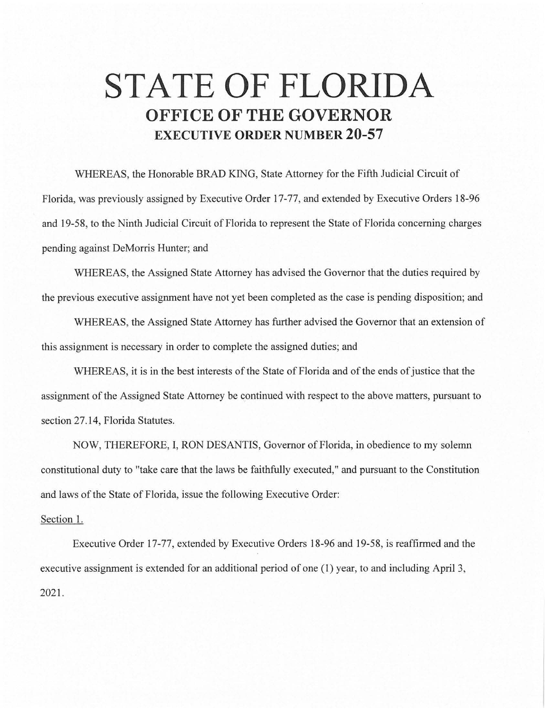## **STATE OF FLORIDA OFFICE OF THE GOVERNOR EXECUTIVE ORDER NUMBER 20-57**

WHEREAS, the Honorable BRAD KING, State Attorney for the Fifth Judicial Circuit of Florida, was previously assigned by Executive Order 17-77, and extended by Executive Orders 18-96 and 19-58, to the Ninth Judicial Circuit of Florida to represent the State of Florida concerning charges pending against DeMorris Hunter; and

WHEREAS, the Assigned State Attorney has advised the Governor that the duties required by the previous executive assignment have not yet been completed as the case is pending disposition; and

WHEREAS, the Assigned State Attorney has further advised the Governor that an extension of this assignment is necessary in order to complete the assigned duties; and

WHEREAS, it is in the best interests of the State of Florida and of the ends of justice that the assignment of the Assigned State Attorney be continued with respect to the above matters, pursuant to section 27.14, Florida Statutes.

NOW, THEREFORE, I, RON DESANTIS, Governor of Florida, in obedience to my solemn constitutional duty to "take care that the laws be faithfully executed," and pursuant to the Constitution and laws of the State of Florida, issue the following Executive Order:

## Section 1.

Executive Order 17-77, extended by Executive Orders 18-96 and 19-58, is reaffirmed and the executive assignment is extended for an additional period of one (1) year, to and including April 3, 2021.